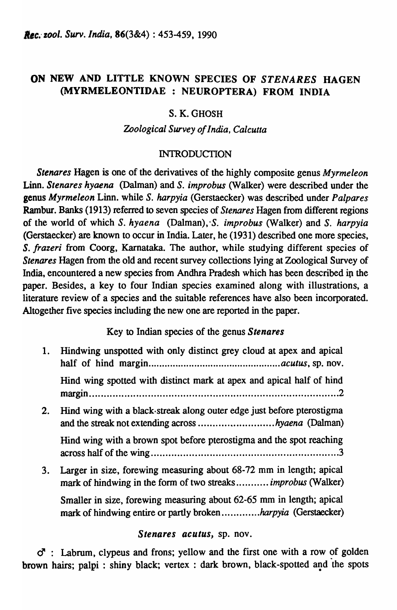# ON NEW AND LITTLE KNOWN SPECIES OF *STENARES* HAGEN (MYRMELEONTIDAE : NEUROPTERA) FROM INDIA

## S. K. GHOSH

### *Zoological Survey of India, Calcutta*

### INTRODUCTION

*Stenares* Hagen is one of the derivatives of the highly composite genus *Myrmeleon*  Linn. *Stenares hyaena* (Dalman) and S. *improbus* (Walker) were described under the genus *Myrmeleon* Linn. while S. *harpyia* (Gerstaecker) was described under *Palpares*  Rambur. Banks (1913) referred to seven species of *Stenares* Hagen from different regions of the world of which S. *hyaena* (Dalman), *·S. improbus* (Walker) and S. *harpyia*  (Gerstaecker) are known to occur in India. Later, he (1931) described one more species, *S. frazeri* from Coorg, Karnataka. The author, while studying different species of *Stenares* Hagen from the old and recent survey collections lying at Zoological Survey of India, encountered a new species from Andhra Pradesh which has been described in the paper. Besides, a key to four Indian species examined along with illustrations, a literature review of a species and the suitable references have also been incorporated. Altogether five species including the new one are reported in the paper.

## Key to Indian species of the genus *Slenares*

1. Hindwing unspotted with only distinct grey cloud at apex and apical half of hind margin ................................................. *acutus,* sp. nov. Hind wing spotted with distinct mark at apex and apical half of hind margin ..................................................................................... 2 2. Hind wing with a black·streak along outer edge just before pterostigma and the streak not extending across ........................... *hyaena* (Dalman) Hind wing with a brown spot before pterostigma and the spot reaching across half of the wing ................................................................ 3 3. Larger in size, forewing measuring about 68-72 mm in length; apical mark of hindwing in the form of two streaks ........... *improbus* (Walker) Smaller in size, forewing measuring about 62-65 mm in length; apical mark of hindwing entire or partly broken ............ *. harpyia* (Gerstaecker)

### *Slenares aculus,* sp. nov.

 $\sigma$  : Labrum, clypeus and frons; yellow and the first one with a row of golden brown hairs; palpi : shiny black; vertex : dark brown, black-spotted and the spots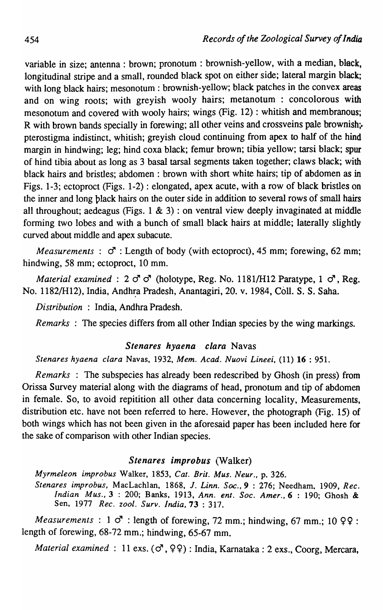variable in size; antenna: brown; pronotum: brownish-yellow, with a median, black, longitudinal stripe and a small, rounded black spot on either side; lateral margin black; with long black hairs; mesonotum : brownish-yellow; black patches in the convex areas and on wing roots; with greyish wooly hairs; metanotum : concolorous with mesonotum and covered with wooly hairs; wings (Fig. 12) : whitish and membranous; R with brown bands specially in forewing; all other veins and crossveins pale brownish;. pterostigma indistinct, whitish; greyish cloud continuing from apex to half of the hind margin in hindwing; leg; hind coxa black; femur brown; tibia yellow; tarsi black; spur of hind tibia about as long as 3 basal tarsal segments taken together; claws black; with black hairs and bristles; abdomen : brown with short white hairs; tip of abdomen as in Figs. 1-3; ectoproct (Figs. 1-2) : elongated, apex acute, with a row of black bristles on the inner and long plack hairs on the outer side in addition to several rows of small hairs all throughout; aedeagus (Figs.  $1 \& 3$ ) : on ventral view deeply invaginated at middle forming two lobes and with a bunch of small black hairs at middle; laterally slightly curved about middle and apex subacute.

*Measurements*:  $\sigma$ : Length of body (with ectoproct), 45 mm; forewing, 62 mm; hindwing, 58 mm; ectoproct, 10 mm.

*Material examined:*  $2 \text{ } \sigma \text{}$  c<sup>4</sup> (holotype, Reg. No. 1181/H12 Paratype, 1  $\sigma$ <sup>7</sup>, Reg. No. 1182/H12), India, Andh~a Pradesh, Anantagiri, 20. v. 1984, CoIl. S. S. Saba.

*Distribution* : India, Andhra Pradesh.

*Remarks*: The species differs from all other Indian species by the wing markings.

#### *Stenares hyaena clara* Navas

*Stenares hyaena clara* Navas, 1932, *Mem. Acad. Nuovi Lineei,* (11) 16 : 951.

*Remarks* : The subspecies has already been redescribed by Ghosh (in press) from Orissa Survey material along with the diagrams of head, pronotum and tip of abdomen in female. So, to avoid repitition all other data concerning locality, Measurements, distribution etc. have not been referred to here. However, the photograph (Fig. 15) of both wings which has not been given in the aforesaid paper has been included here for the sake of comparison with other Indian species.

### *Stenares improbus* (Walker)

*Myrmeleon impro.bus* Walker, 1853, *Cat. Brit. Mus. Neur.,* p. 326.

*Stenares improbus,* MacLachlan, 1868, *1. Linn. Soc.,* 9 : 276; Needham. 1909, *Rec. Indian Mus.,* 3 : 200; Banks, 1913, *Ann. ent. Soc. Amer.,6* : 190; Ghosh & Sen, 1977 *Rec. zool. Surv. India,* 73 : 317.

*Measurements* :  $1 \circ$  : length of forewing, 72 mm.; hindwing, 67 mm.; 10 99 : length of forewing, 68-72 mm.; hindwing, 65-67 mm.

*Material examined* : 11 exs. ( $\sigma$ ,  $99$ ) : India, Karnataka : 2 exs., Coorg, Mercara,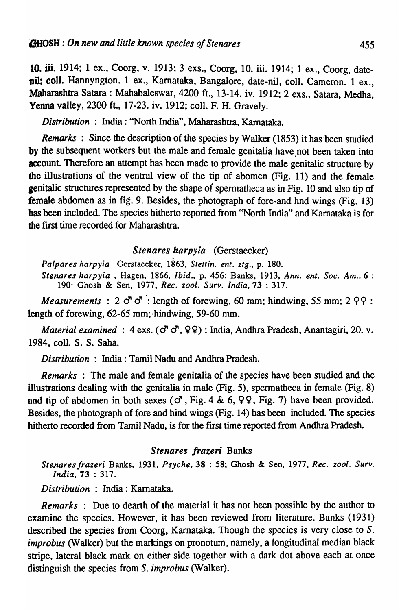10. iii. 1914; 1 ex., Coorg, v. 1913; 3 exs., Coorg, 10. iii. 1914; 1 ex., Coorg, datenil; colI. Hannyngton. 1 ex., Karnataka, Bangalore, date-nil, colI. Cameron. 1 ex., Maharashtra Satara : Mahabaleswar, 4200 ft., 13-14. iv. 1912; 2 exs., Satara, Medha, Yenna valley, 2300 ft., 17-23. iv. 1912; colI. F. H. Gravely.

*Distribution:* India: "North India", Maharashtra, Kamataka.

*Remarks*: Since the description of the species by Walker (1853) it has been studied by the subsequent workers but the male and female genitalia have not been taken into account. Therefore an attempt has been made to provide the male genitalic structure by the illustrations of the ventral view of the tip of abomen (Fig. 11) and the female genitalic structures represented by the shape of spermatheca as in Fig. 10 and also tip of female abdomen as in fig. 9. Besides, the photograph of fore-and hnd wings (Fig. 13) bas been included. The species hitherto reported from "North India" and Karnataka is for the first time recorded for Maharashtra.

### *Stenares harpyia* (Gerstaecker)

*Palpares harpyia* Gerstaecker, 1863, *Stettin. ent. ztg.,* p. 180. *Sterwres harpyia* , Hagen, 1866, *Ibid.,* p. 456: Banks, 1913, *Ann. ent. Soc. Am.,* 6 : 190' Ghosh & Sen, 1977, *Rec. zool. Surv. India,* 73 : 317.

*Measurements* : 2  $\sigma$   $\sigma$  : length of forewing, 60 mm; hindwing, 55 mm; 2 99 : length of forewing, 62-65 mm; hindwing, 59-60 mm.

*Material examined:* 4 exs. ( $\sigma$ <sup>7</sup>,  $\varphi$  $\varphi$ ): India, Andhra Pradesh, Anantagiri, 20. v. 1984, colI. S. S. Saba.

*Distribution* : India: Tamil Nadu and Andhra Pradesh.

*Remarks* : The male and female genitalia of the species have been studied and the illustrations dealing with the genitalia in male (Fig. 5), spermatheca in female (Fig. 8) and tip of abdomen in both sexes ( $\sigma$ , Fig. 4 & 6, 99, Fig. 7) have been provided. Besides, the photograph of fore and hind wings (Fig. 14) has been included. The species hitherto recorded from Tamil Nadu, is for the first time reported from Andhra Pradesh.

#### *Stenares frazeri* Banks

*Stenares frazeri Banks, 1931, Psyche, 38 : 58; Ghosh & Sen, 1977, Rec. zool. Surv. India,* 73 : 317.

*Distribution* : India: Kamataka.

*Remarks* : Due to dearth of the material it has not been possible by the author to examine the species. However, it has been reviewed from literature. Banks (1931) described the species from Coorg, Karnataka. Though the species is very close to *S. improbus* (Walker) but the markings on pronotum, namely, a longitudinal median black stripe, lateral black mark on either side together with a dark dot above each at once distinguish the species from *S. improbus* (Walker).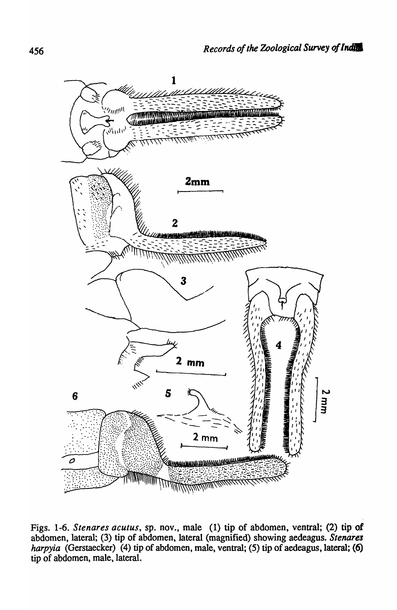

Figs. 1-6. *Stenares acutus*, sp. nov., male (1) tip of abdomen, ventral; (2) tip of abdomen, lateral; (3) tip of abdomen, lateral (magnified) showing aedeagus. Stenares *harpyia* (Gerstaecker) (4) tip of abdomen, male, ventral; (5) tip of aedeagus, lateral; (6) tip of abdomen, male, lateral.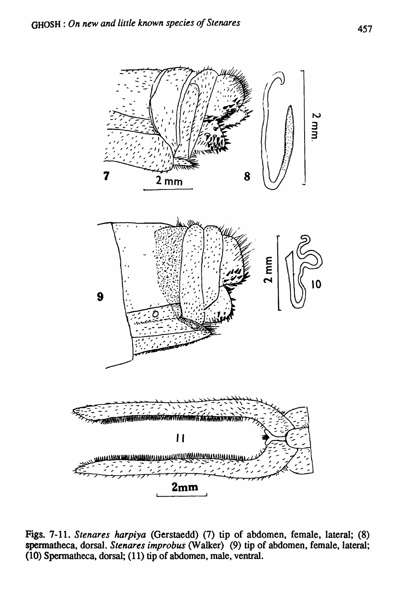

Figs. 7-11. Stenares harpiya (Gerstaedd) (7) tip of abdomen, female, lateral; (8) spermatheca, dorsal. *Stenares improbus* (Walker) (9) tip of abdomen, female, lateral; (10) Spermatheca, dorsal; (11) tip of abdomen, male, ventral.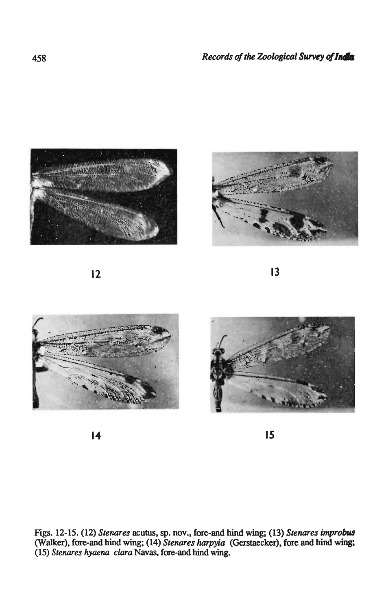



 $\overline{12}$  13







 $\overline{14}$  15

Figs. 12-15. (12) *Stenares* acutus, sp. nov., fore-and hind wing; (13) *Stenares improbus* (Walker), fore-and hind wing; (14) *Stenares harpyia* (Gerstaeeker), fore and hind wing; *(15) Stenares hyaena clara* Navas, fore-and hind wing.